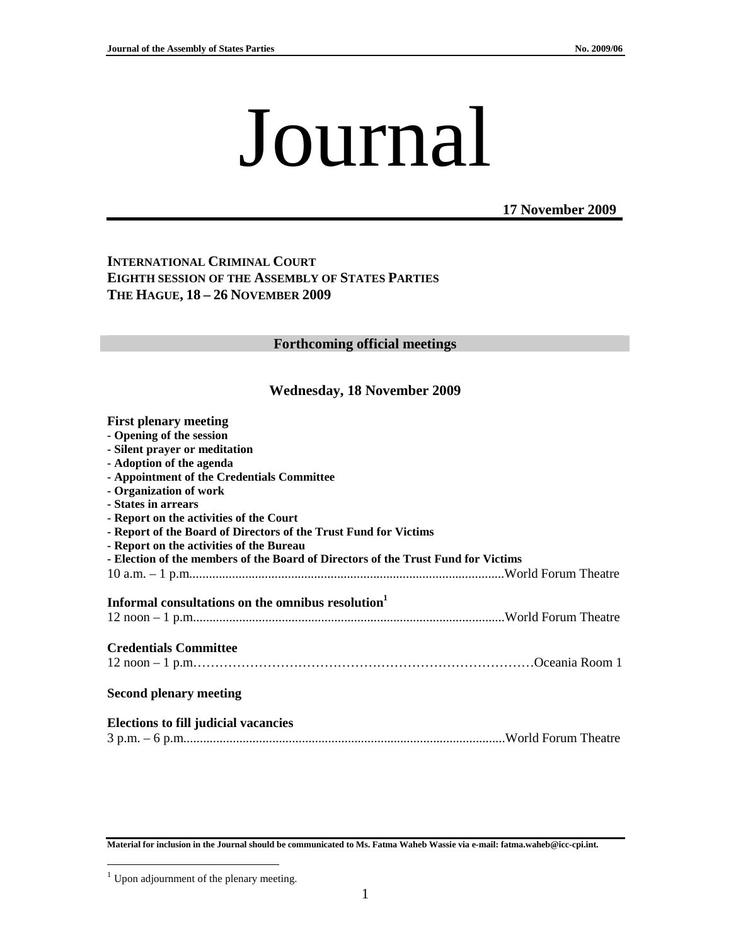# Journal

**17 November 2009**

#### **INTERNATIONAL CRIMINAL COURT EIGHTH SESSION OF THE ASSEMBLY OF STATES PARTIES THE HAGUE, 18 – 26 NOVEMBER 2009**

#### **Forthcoming official meetings**

#### **Wednesday, 18 November 2009**

| <b>First plenary meeting</b>                                                                  |  |
|-----------------------------------------------------------------------------------------------|--|
| - Opening of the session                                                                      |  |
| - Silent prayer or meditation                                                                 |  |
| - Adoption of the agenda                                                                      |  |
| - Appointment of the Credentials Committee                                                    |  |
| - Organization of work                                                                        |  |
| - States in arrears                                                                           |  |
| - Report on the activities of the Court                                                       |  |
| - Report of the Board of Directors of the Trust Fund for Victims                              |  |
| - Report on the activities of the Bureau                                                      |  |
| - Election of the members of the Board of Directors of the Trust Fund for Victims             |  |
|                                                                                               |  |
|                                                                                               |  |
|                                                                                               |  |
| Informal consultations on the omnibus resolution <sup>1</sup><br><b>Credentials Committee</b> |  |
|                                                                                               |  |
| <b>Second plenary meeting</b>                                                                 |  |
| <b>Elections to fill judicial vacancies</b>                                                   |  |

**Material for inclusion in the Journal should be communicated to Ms. Fatma Waheb Wassie via e-mail: fatma.waheb@icc-cpi.int.** 

 $\overline{a}$ 

 $1$  Upon adjournment of the plenary meeting.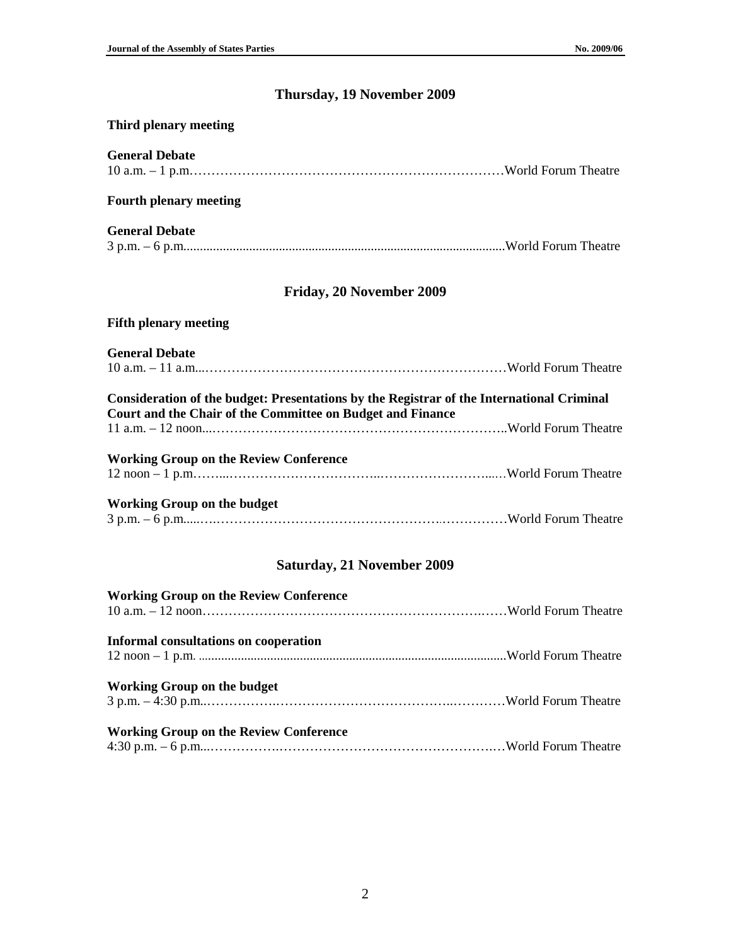# **Thursday, 19 November 2009**

## **Third plenary meeting**

| <b>General Debate</b>                                                                                                                                   |  |
|---------------------------------------------------------------------------------------------------------------------------------------------------------|--|
| <b>Fourth plenary meeting</b>                                                                                                                           |  |
| <b>General Debate</b>                                                                                                                                   |  |
| Friday, 20 November 2009                                                                                                                                |  |
| <b>Fifth plenary meeting</b>                                                                                                                            |  |
| <b>General Debate</b>                                                                                                                                   |  |
| Consideration of the budget: Presentations by the Registrar of the International Criminal<br>Court and the Chair of the Committee on Budget and Finance |  |
| <b>Working Group on the Review Conference</b>                                                                                                           |  |
| <b>Working Group on the budget</b>                                                                                                                      |  |
| <b>Saturday, 21 November 2009</b>                                                                                                                       |  |
| <b>Working Group on the Review Conference</b>                                                                                                           |  |
| <b>Informal consultations on cooperation</b>                                                                                                            |  |

| Working Group on the budget |  |
|-----------------------------|--|

## **Working Group on the Review Conference**

|--|--|--|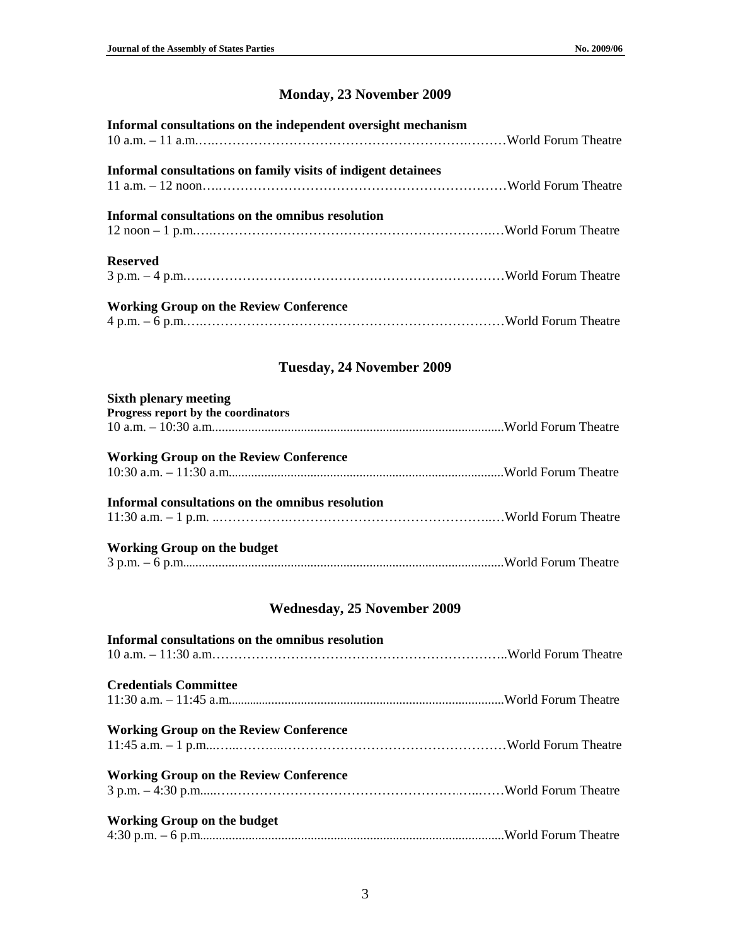# **Monday, 23 November 2009**

## **Tuesday, 24 November 2009**

| <b>Sixth plenary meeting</b>                     |  |
|--------------------------------------------------|--|
| Progress report by the coordinators              |  |
|                                                  |  |
| <b>Working Group on the Review Conference</b>    |  |
|                                                  |  |
| Informal consultations on the omnibus resolution |  |
|                                                  |  |
| Working Group on the budget                      |  |
|                                                  |  |

## **Wednesday, 25 November 2009**

| Informal consultations on the omnibus resolution |  |
|--------------------------------------------------|--|
| <b>Credentials Committee</b>                     |  |
| <b>Working Group on the Review Conference</b>    |  |
| <b>Working Group on the Review Conference</b>    |  |
| <b>Working Group on the budget</b>               |  |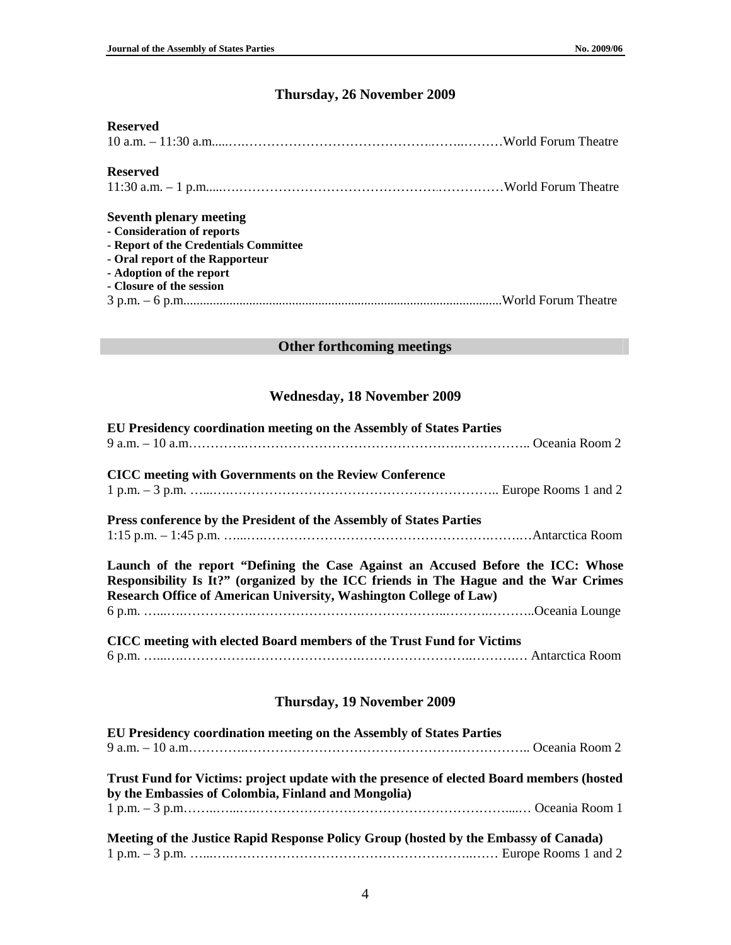### **Thursday, 26 November 2009**

## **Reserved**  10 a.m. – 11:30 a.m.....….…………………………………….……..………World Forum Theatre **Reserved**  11:30 a.m. – 1 p.m.....….……………………………………….……………World Forum Theatre **Seventh plenary meeting - Consideration of reports - Report of the Credentials Committee - Oral report of the Rapporteur - Adoption of the report - Closure of the session**  3 p.m. – 6 p.m.................................................................................................World Forum Theatre

#### **Other forthcoming meetings**

#### **Wednesday, 18 November 2009**

| EU Presidency coordination meeting on the Assembly of States Parties                                                                                                                                                                           |
|------------------------------------------------------------------------------------------------------------------------------------------------------------------------------------------------------------------------------------------------|
|                                                                                                                                                                                                                                                |
| <b>CICC</b> meeting with Governments on the Review Conference                                                                                                                                                                                  |
|                                                                                                                                                                                                                                                |
| Press conference by the President of the Assembly of States Parties                                                                                                                                                                            |
|                                                                                                                                                                                                                                                |
| Launch of the report "Defining the Case Against an Accused Before the ICC: Whose<br>Responsibility Is It?" (organized by the ICC friends in The Hague and the War Crimes<br>Research Office of American University, Washington College of Law) |
|                                                                                                                                                                                                                                                |
| CICC meeting with elected Board members of the Trust Fund for Victims                                                                                                                                                                          |
|                                                                                                                                                                                                                                                |
| <b>Thursday, 19 November 2009</b>                                                                                                                                                                                                              |
| EU Presidency coordination meeting on the Assembly of States Parties                                                                                                                                                                           |
|                                                                                                                                                                                                                                                |
| Trust Fund for Victims: project update with the presence of elected Board members (hosted<br>by the Embassies of Colombia, Finland and Mongolia)                                                                                               |
|                                                                                                                                                                                                                                                |
| Meeting of the Justice Rapid Response Policy Group (hosted by the Embassy of Canada)                                                                                                                                                           |
|                                                                                                                                                                                                                                                |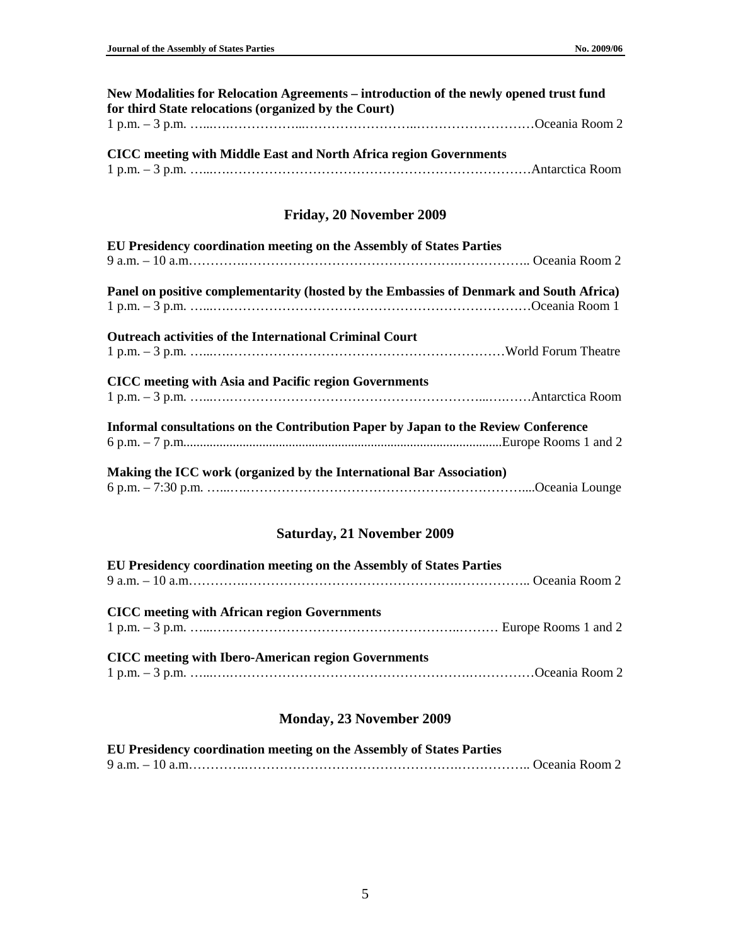| New Modalities for Relocation Agreements – introduction of the newly opened trust fund |  |
|----------------------------------------------------------------------------------------|--|
| for third State relocations (organized by the Court)                                   |  |
|                                                                                        |  |

| <b>CICC</b> meeting with Middle East and North Africa region Governments |  |
|--------------------------------------------------------------------------|--|
|                                                                          |  |

#### **Friday, 20 November 2009**

| EU Presidency coordination meeting on the Assembly of States Parties                    |  |
|-----------------------------------------------------------------------------------------|--|
|                                                                                         |  |
| Panel on positive complementarity (hosted by the Embassies of Denmark and South Africa) |  |
|                                                                                         |  |
| <b>Outreach activities of the International Criminal Court</b>                          |  |
| <b>CICC</b> meeting with Asia and Pacific region Governments                            |  |
| Informal consultations on the Contribution Paper by Japan to the Review Conference      |  |
| Making the ICC work (organized by the International Bar Association)                    |  |
|                                                                                         |  |

## **Saturday, 21 November 2009**

| EU Presidency coordination meeting on the Assembly of States Parties |  |
|----------------------------------------------------------------------|--|
|                                                                      |  |
| <b>CICC</b> meeting with African region Governments                  |  |
| <b>CICC</b> meeting with Ibero-American region Governments           |  |

## **Monday, 23 November 2009**

| EU Presidency coordination meeting on the Assembly of States Parties |  |
|----------------------------------------------------------------------|--|
|                                                                      |  |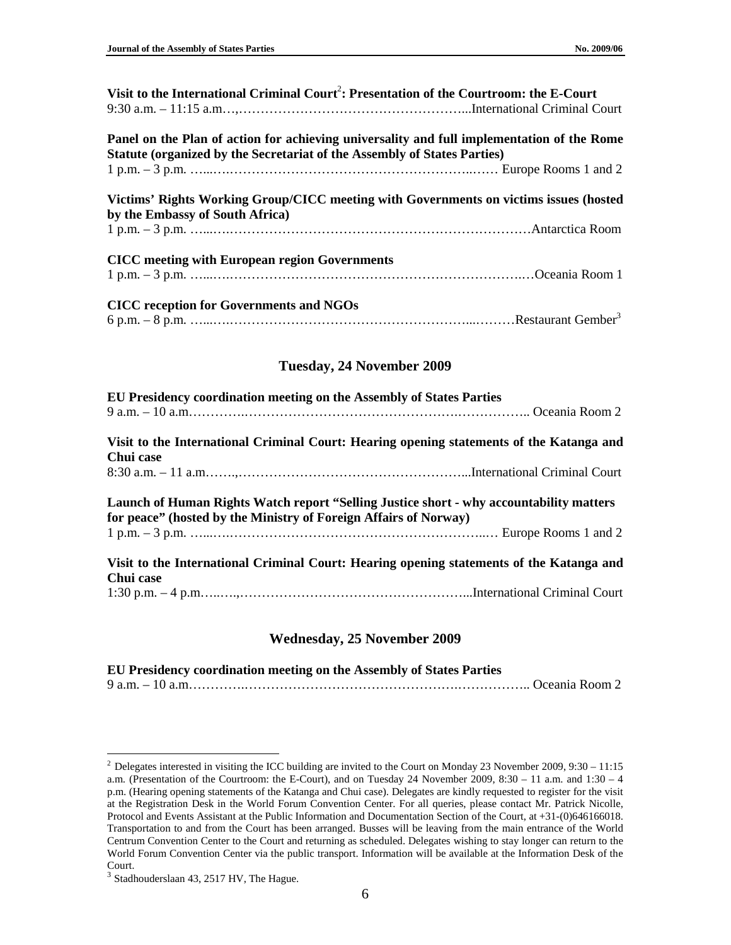| Visit to the International Criminal Court <sup>2</sup> : Presentation of the Courtroom: the E-Court                                                                    |  |  |
|------------------------------------------------------------------------------------------------------------------------------------------------------------------------|--|--|
| Panel on the Plan of action for achieving universality and full implementation of the Rome<br>Statute (organized by the Secretariat of the Assembly of States Parties) |  |  |
| Victims' Rights Working Group/CICC meeting with Governments on victims issues (hosted                                                                                  |  |  |
| by the Embassy of South Africa)                                                                                                                                        |  |  |
| <b>CICC</b> meeting with European region Governments                                                                                                                   |  |  |
| <b>CICC</b> reception for Governments and NGOs                                                                                                                         |  |  |
| Tuesday, 24 November 2009                                                                                                                                              |  |  |
| EU Presidency coordination meeting on the Assembly of States Parties                                                                                                   |  |  |

**Visit to the International Criminal Court: Hearing opening statements of the Katanga and Chui case**  8:30 a.m. – 11 a.m…….,……………………………………………...International Criminal Court

**Launch of Human Rights Watch report "Selling Justice short - why accountability matters for peace" (hosted by the Ministry of Foreign Affairs of Norway)**  1 p.m. – 3 p.m. …...….…………………………………………………..… Europe Rooms 1 and 2

**Visit to the International Criminal Court: Hearing opening statements of the Katanga and Chui case**  1:30 p.m. – 4 p.m…..….,……………………………………………...International Criminal Court

#### **Wednesday, 25 November 2009**

**EU Presidency coordination meeting on the Assembly of States Parties**  9 a.m. – 10 a.m………….………………………………………….…………….. Oceania Room 2

 $\overline{a}$ 

<sup>&</sup>lt;sup>2</sup> Delegates interested in visiting the ICC building are invited to the Court on Monday 23 November 2009, 9:30 – 11:15 a.m. (Presentation of the Courtroom: the E-Court), and on Tuesday 24 November 2009, 8:30 – 11 a.m. and 1:30 – 4 p.m. (Hearing opening statements of the Katanga and Chui case). Delegates are kindly requested to register for the visit at the Registration Desk in the World Forum Convention Center. For all queries, please contact Mr. Patrick Nicolle, Protocol and Events Assistant at the Public Information and Documentation Section of the Court, at +31-(0)646166018. Transportation to and from the Court has been arranged. Busses will be leaving from the main entrance of the World Centrum Convention Center to the Court and returning as scheduled. Delegates wishing to stay longer can return to the World Forum Convention Center via the public transport. Information will be available at the Information Desk of the Court.

<sup>&</sup>lt;sup>3</sup> Stadhouderslaan 43, 2517 HV, The Hague.